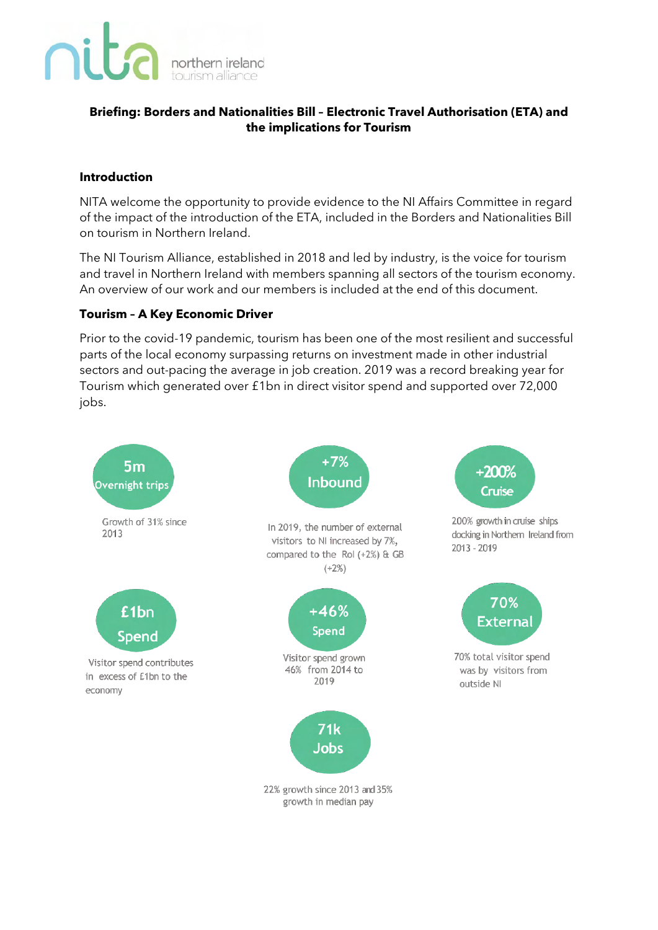

# **Briefing: Borders and Nationalities Bill – Electronic Travel Authorisation (ETA) and the implications for Tourism**

#### **Introduction**

NITA welcome the opportunity to provide evidence to the NI Affairs Committee in regard of the impact of the introduction of the ETA, included in the Borders and Nationalities Bill on tourism in Northern Ireland.

The NI Tourism Alliance, established in 2018 and led by industry, is the voice for tourism and travel in Northern Ireland with members spanning all sectors of the tourism economy. An overview of our work and our members is included at the end of this document.

## **Tourism – A Key Economic Driver**

Prior to the covid-19 pandemic, tourism has been one of the most resilient and successful parts of the local economy surpassing returns on investment made in other industrial sectors and out-pacing the average in job creation. 2019 was a record breaking year for Tourism which generated over £1bn in direct visitor spend and supported over 72,000 jobs.



growth in median pay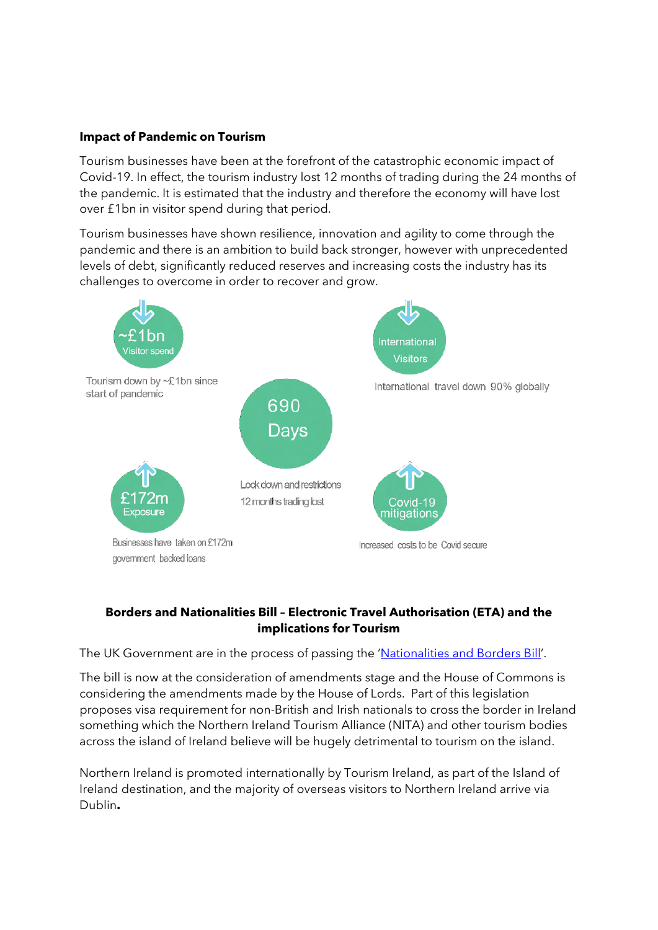#### **Impact of Pandemic on Tourism**

Tourism businesses have been at the forefront of the catastrophic economic impact of Covid-19. In effect, the tourism industry lost 12 months of trading during the 24 months of the pandemic. It is estimated that the industry and therefore the economy will have lost over £1bn in visitor spend during that period.

Tourism businesses have shown resilience, innovation and agility to come through the pandemic and there is an ambition to build back stronger, however with unprecedented levels of debt, significantly reduced reserves and increasing costs the industry has its challenges to overcome in order to recover and grow.



#### **Borders and Nationalities Bill – Electronic Travel Authorisation (ETA) and the implications for Tourism**

The UK Government are in the process of passing the ['Nationalities and Borders Bill'.](https://bills.parliament.uk/bills/3023)

The bill is now at the consideration of amendments stage and the House of Commons is considering the amendments made by the House of Lords. Part of this legislation proposes visa requirement for non-British and Irish nationals to cross the border in Ireland something which the Northern Ireland Tourism Alliance (NITA) and other tourism bodies across the island of Ireland believe will be hugely detrimental to tourism on the island.

Northern Ireland is promoted internationally by Tourism Ireland, as part of the Island of Ireland destination, and the majority of overseas visitors to Northern Ireland arrive via Dublin**.**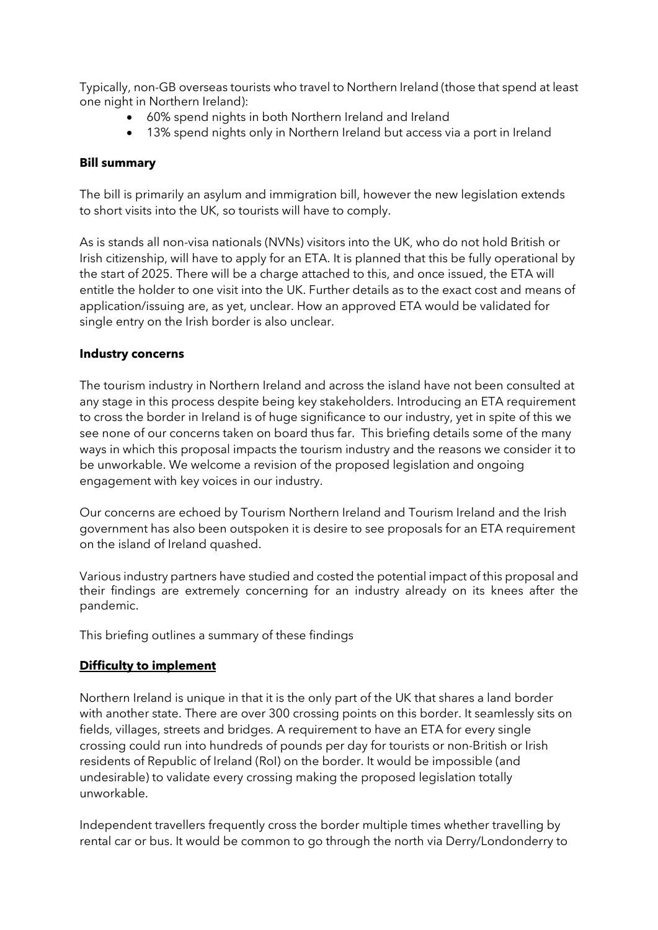Typically, non-GB overseas tourists who travel to Northern Ireland (those that spend at least one night in Northern Ireland):

- 60% spend nights in both Northern Ireland and Ireland
- 13% spend nights only in Northern Ireland but access via a port in Ireland

#### **Bill summary**

The bill is primarily an asylum and immigration bill, however the new legislation extends to short visits into the UK, so tourists will have to comply.

As is stands all non-visa nationals (NVNs) visitors into the UK, who do not hold British or Irish citizenship, will have to apply for an ETA. It is planned that this be fully operational by the start of 2025. There will be a charge attached to this, and once issued, the ETA will entitle the holder to one visit into the UK. Further details as to the exact cost and means of application/issuing are, as yet, unclear. How an approved ETA would be validated for single entry on the Irish border is also unclear.

#### **Industry concerns**

The tourism industry in Northern Ireland and across the island have not been consulted at any stage in this process despite being key stakeholders. Introducing an ETA requirement to cross the border in Ireland is of huge significance to our industry, yet in spite of this we see none of our concerns taken on board thus far. This briefing details some of the many ways in which this proposal impacts the tourism industry and the reasons we consider it to be unworkable. We welcome a revision of the proposed legislation and ongoing engagement with key voices in our industry.

Our concerns are echoed by Tourism Northern Ireland and Tourism Ireland and the Irish government has also been outspoken it is desire to see proposals for an ETA requirement on the island of Ireland quashed.

Various industry partners have studied and costed the potential impact of this proposal and their findings are extremely concerning for an industry already on its knees after the pandemic.

This briefing outlines a summary of these findings

## **Difficulty to implement**

Northern Ireland is unique in that it is the only part of the UK that shares a land border with another state. There are over 300 crossing points on this border. It seamlessly sits on fields, villages, streets and bridges. A requirement to have an ETA for every single crossing could run into hundreds of pounds per day for tourists or non-British or Irish residents of Republic of Ireland (RoI) on the border. It would be impossible (and undesirable) to validate every crossing making the proposed legislation totally unworkable.

Independent travellers frequently cross the border multiple times whether travelling by rental car or bus. It would be common to go through the north via Derry/Londonderry to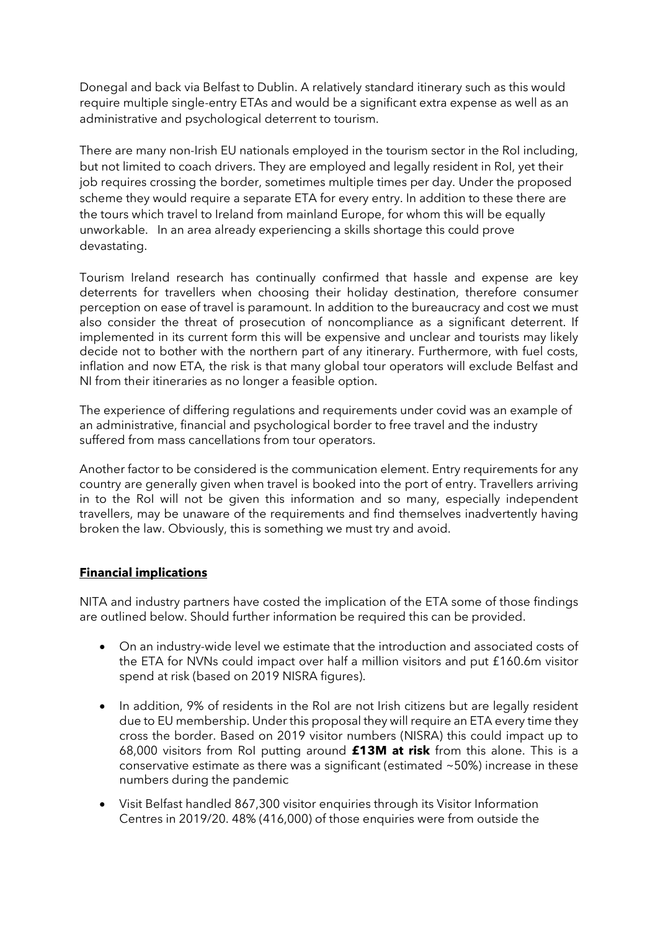Donegal and back via Belfast to Dublin. A relatively standard itinerary such as this would require multiple single-entry ETAs and would be a significant extra expense as well as an administrative and psychological deterrent to tourism.

There are many non-Irish EU nationals employed in the tourism sector in the RoI including, but not limited to coach drivers. They are employed and legally resident in RoI, yet their job requires crossing the border, sometimes multiple times per day. Under the proposed scheme they would require a separate ETA for every entry. In addition to these there are the tours which travel to Ireland from mainland Europe, for whom this will be equally unworkable. In an area already experiencing a skills shortage this could prove devastating.

Tourism Ireland research has continually confirmed that hassle and expense are key deterrents for travellers when choosing their holiday destination, therefore consumer perception on ease of travel is paramount. In addition to the bureaucracy and cost we must also consider the threat of prosecution of noncompliance as a significant deterrent. If implemented in its current form this will be expensive and unclear and tourists may likely decide not to bother with the northern part of any itinerary. Furthermore, with fuel costs, inflation and now ETA, the risk is that many global tour operators will exclude Belfast and NI from their itineraries as no longer a feasible option.

The experience of differing regulations and requirements under covid was an example of an administrative, financial and psychological border to free travel and the industry suffered from mass cancellations from tour operators.

Another factor to be considered is the communication element. Entry requirements for any country are generally given when travel is booked into the port of entry. Travellers arriving in to the RoI will not be given this information and so many, especially independent travellers, may be unaware of the requirements and find themselves inadvertently having broken the law. Obviously, this is something we must try and avoid.

## **Financial implications**

NITA and industry partners have costed the implication of the ETA some of those findings are outlined below. Should further information be required this can be provided.

- On an industry-wide level we estimate that the introduction and associated costs of the ETA for NVNs could impact over half a million visitors and put £160.6m visitor spend at risk (based on 2019 NISRA figures).
- In addition, 9% of residents in the RoI are not Irish citizens but are legally resident due to EU membership. Under this proposal they will require an ETA every time they cross the border. Based on 2019 visitor numbers (NISRA) this could impact up to 68,000 visitors from RoI putting around **£13M at risk** from this alone. This is a conservative estimate as there was a significant (estimated  $\sim$  50%) increase in these numbers during the pandemic
- Visit Belfast handled 867,300 visitor enquiries through its Visitor Information Centres in 2019/20. 48% (416,000) of those enquiries were from outside the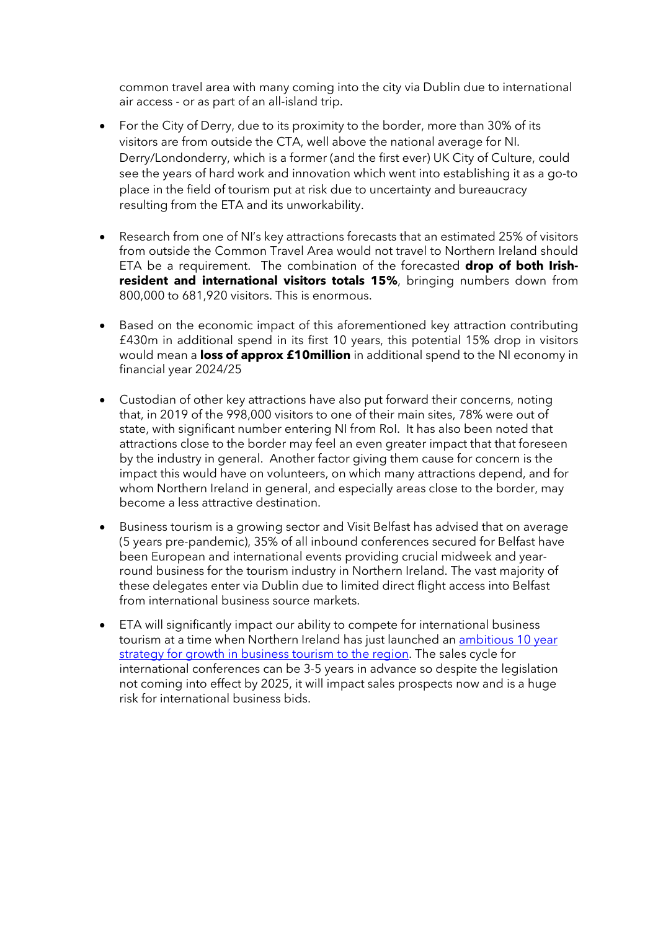common travel area with many coming into the city via Dublin due to international air access - or as part of an all-island trip.

- For the City of Derry, due to its proximity to the border, more than 30% of its visitors are from outside the CTA, well above the national average for NI. Derry/Londonderry, which is a former (and the first ever) UK City of Culture, could see the years of hard work and innovation which went into establishing it as a go-to place in the field of tourism put at risk due to uncertainty and bureaucracy resulting from the ETA and its unworkability.
- Research from one of NI's key attractions forecasts that an estimated 25% of visitors from outside the Common Travel Area would not travel to Northern Ireland should ETA be a requirement. The combination of the forecasted **drop of both Irishresident and international visitors totals 15%**, bringing numbers down from 800,000 to 681,920 visitors. This is enormous.
- Based on the economic impact of this aforementioned key attraction contributing £430m in additional spend in its first 10 years, this potential 15% drop in visitors would mean a **loss of approx £10million** in additional spend to the NI economy in financial year 2024/25
- Custodian of other key attractions have also put forward their concerns, noting that, in 2019 of the 998,000 visitors to one of their main sites, 78% were out of state, with significant number entering NI from RoI. It has also been noted that attractions close to the border may feel an even greater impact that that foreseen by the industry in general. Another factor giving them cause for concern is the impact this would have on volunteers, on which many attractions depend, and for whom Northern Ireland in general, and especially areas close to the border, may become a less attractive destination.
- Business tourism is a growing sector and Visit Belfast has advised that on average (5 years pre-pandemic), 35% of all inbound conferences secured for Belfast have been European and international events providing crucial midweek and yearround business for the tourism industry in Northern Ireland. The vast majority of these delegates enter via Dublin due to limited direct flight access into Belfast from international business source markets.
- ETA will significantly impact our ability to compete for international business tourism at a time when Northern Ireland has just launched an [ambitious 10 year](https://www.tourismni.com/industry-news/launch-of-new-integrated-strategy-for-business-events/)  [strategy for growth in business tourism to the region.](https://www.tourismni.com/industry-news/launch-of-new-integrated-strategy-for-business-events/) The sales cycle for international conferences can be 3-5 years in advance so despite the legislation not coming into effect by 2025, it will impact sales prospects now and is a huge risk for international business bids.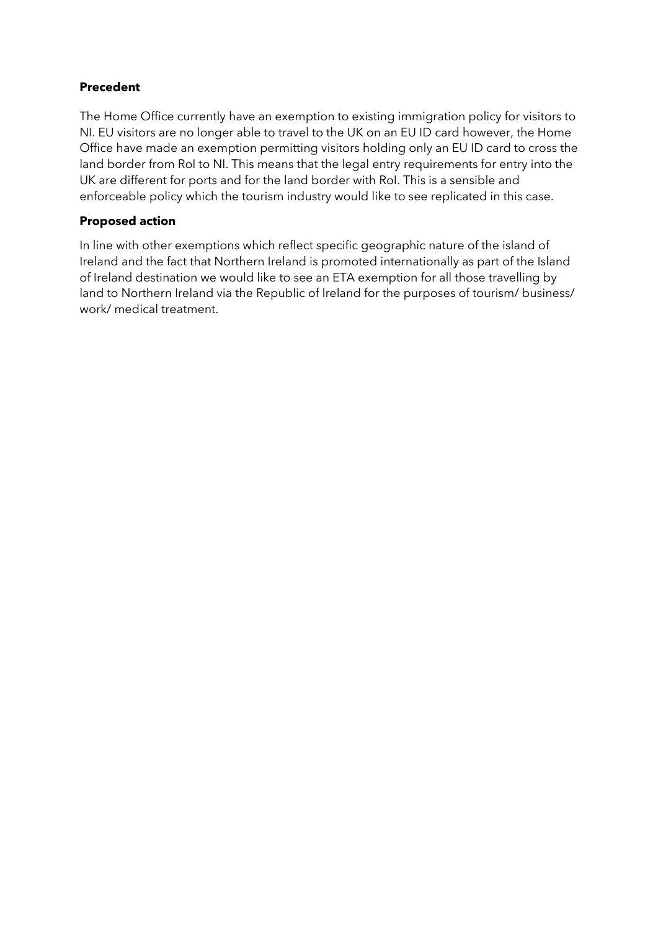## **Precedent**

The Home Office currently have an exemption to existing immigration policy for visitors to NI. EU visitors are no longer able to travel to the UK on an EU ID card however, the Home Office have made an exemption permitting visitors holding only an EU ID card to cross the land border from RoI to NI. This means that the legal entry requirements for entry into the UK are different for ports and for the land border with RoI. This is a sensible and enforceable policy which the tourism industry would like to see replicated in this case.

## **Proposed action**

In line with other exemptions which reflect specific geographic nature of the island of Ireland and the fact that Northern Ireland is promoted internationally as part of the Island of Ireland destination we would like to see an ETA exemption for all those travelling by land to Northern Ireland via the Republic of Ireland for the purposes of tourism/ business/ work/ medical treatment.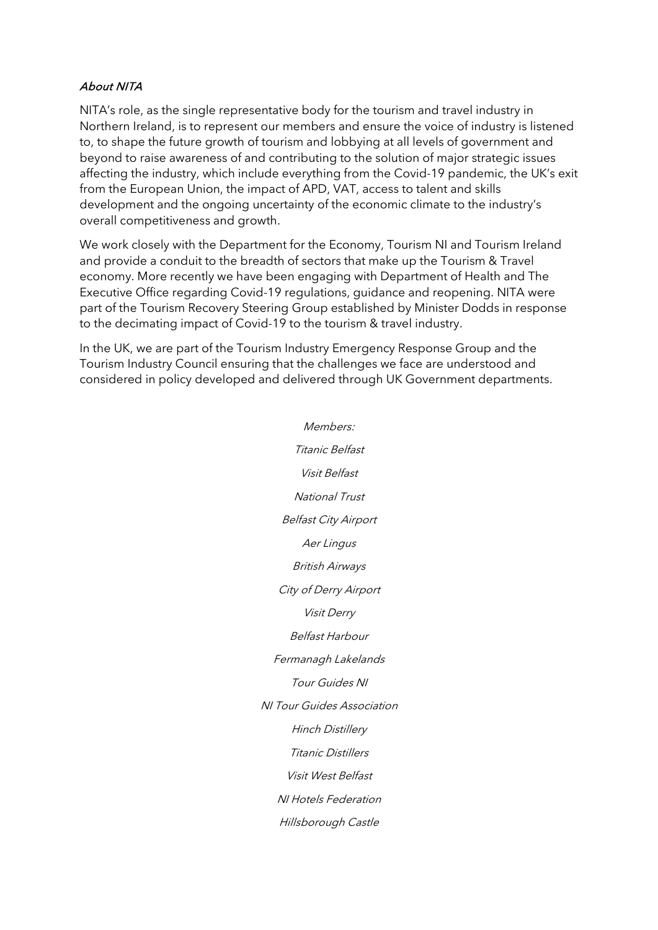#### About NITA

NITA's role, as the single representative body for the tourism and travel industry in Northern Ireland, is to represent our members and ensure the voice of industry is listened to, to shape the future growth of tourism and lobbying at all levels of government and beyond to raise awareness of and contributing to the solution of major strategic issues affecting the industry, which include everything from the Covid-19 pandemic, the UK's exit from the European Union, the impact of APD, VAT, access to talent and skills development and the ongoing uncertainty of the economic climate to the industry's overall competitiveness and growth.

We work closely with the Department for the Economy, Tourism NI and Tourism Ireland and provide a conduit to the breadth of sectors that make up the Tourism & Travel economy. More recently we have been engaging with Department of Health and The Executive Office regarding Covid-19 regulations, guidance and reopening. NITA were part of the Tourism Recovery Steering Group established by Minister Dodds in response to the decimating impact of Covid-19 to the tourism & travel industry.

In the UK, we are part of the Tourism Industry Emergency Response Group and the Tourism Industry Council ensuring that the challenges we face are understood and considered in policy developed and delivered through UK Government departments.

> Members: Titanic Belfast Visit Belfast National Trust Belfast City Airport Aer Lingus British Airways City of Derry Airport Visit Derry Belfast Harbour Fermanagh Lakelands Tour Guides NI NI Tour Guides Association Hinch Distillery Titanic Distillers Visit West Belfast NI Hotels Federation Hillsborough Castle